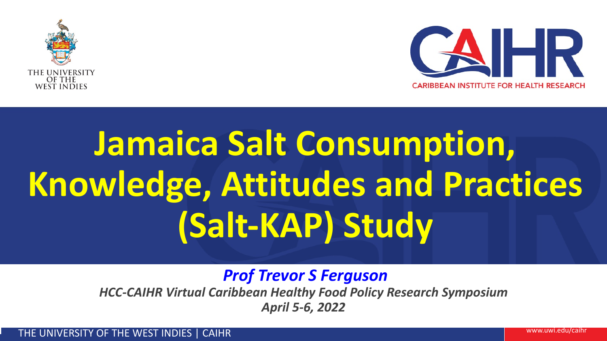



# **Jamaica Salt Consumption, Knowledge, Attitudes and Practices (Salt-KAP) Study**

*Prof Trevor S Ferguson*

*HCC-CAIHR Virtual Caribbean Healthy Food Policy Research Symposium April 5-6, 2022*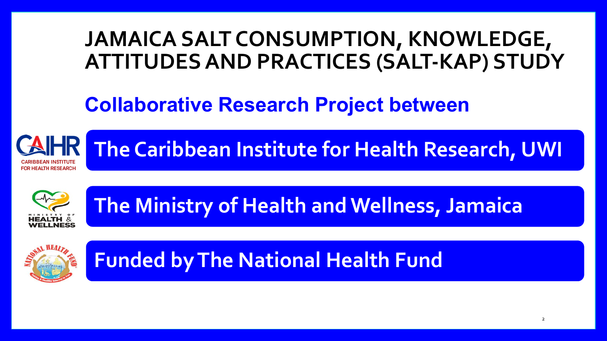### **JAMAICA SALT CONSUMPTION, KNOWLEDGE, ATTITUDES AND PRACTICES (SALT-KAP) STUDY**

### **Collaborative Research Project between**

**The Caribbean Institute for Health Research, UWI**



**The Ministry of Health and Wellness, Jamaica** 



**Funded by The National Health Fund**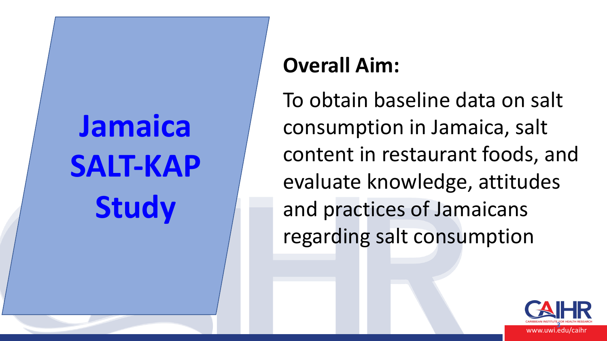# **Jamaica SALT-KAP Study**

### **Overall Aim:**

To obtain baseline data on salt consumption in Jamaica, salt content in restaurant foods, and evaluate knowledge, attitudes and practices of Jamaicans regarding salt consumption

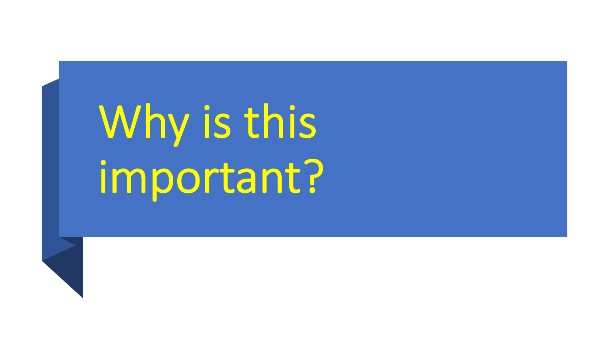# Why is this important?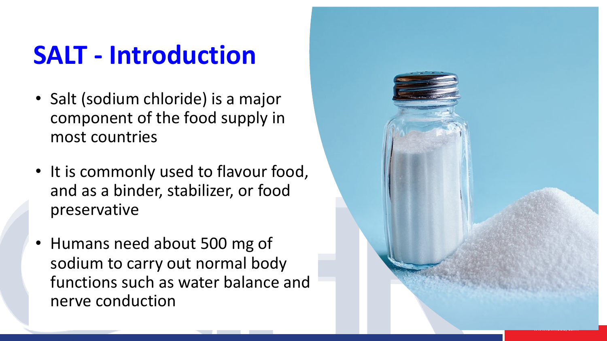# **SALT - Introduction**

- Salt (sodium chloride) is a major component of the food supply in most countries
- It is commonly used to flavour food, and as a binder, stabilizer, or food preservative
- Humans need about 500 mg of sodium to carry out normal body functions such as water balance and nerve conduction

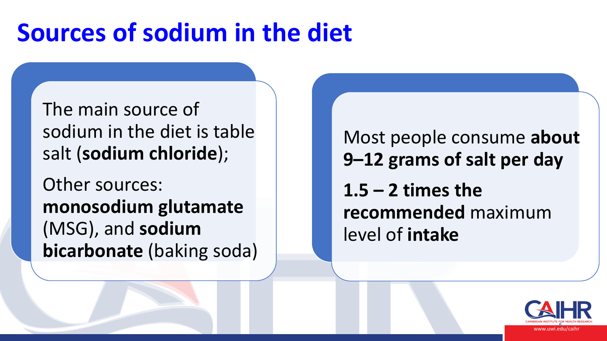# **Sources of sodium in the diet**

The main source of sodium in the diet is table salt (**sodium chloride**);

Other sources: **monosodium glutamate**  (MSG), and **sodium bicarbonate** (baking soda)

Most people consume **about 9–12 grams of salt per day 1.5 – 2 times the recommended** maximum level of **intake**

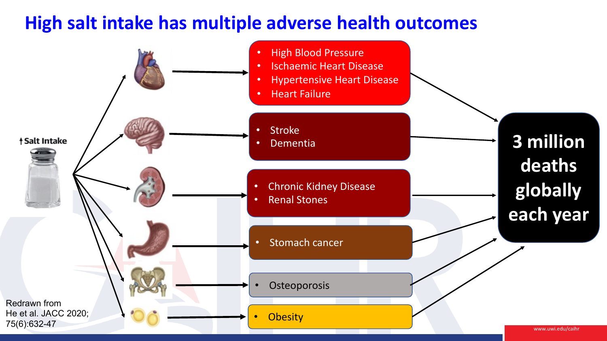### **High salt intake has multiple adverse health outcomes**

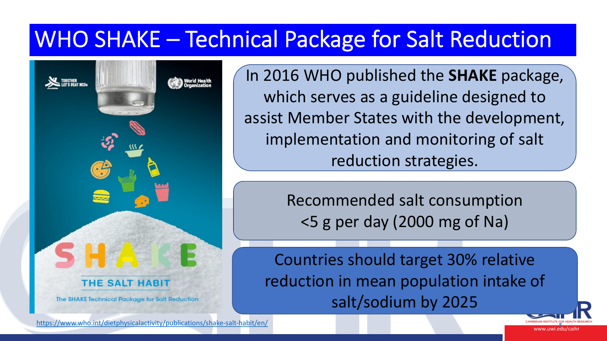## WHO SHAKE - Technical Package fo

In 2016 WHO publis which serves as a assist Member State  $implementation$ reductio

> Recommende <5 g per day

Countries shoul reduction in mea salt/sod



https://www.who.int/dietphysicalactivity/publications/shake-salt-habit/en/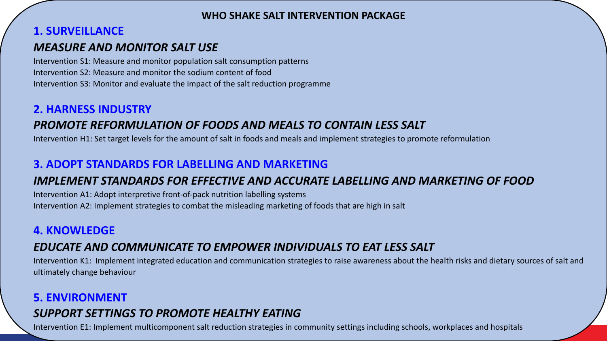#### **WHO SHAKE SALT INTERVENTION PACKAGE**

#### **1. SURVEILLANCE**

#### *MEASURE AND MONITOR SALT USE*

Intervention S1: Measure and monitor population salt consumption patterns Intervention S2: Measure and monitor the sodium content of food Intervention S3: Monitor and evaluate the impact of the salt reduction programme

#### **2. HARNESS INDUSTRY**

#### *PROMOTE REFORMULATION OF FOODS AND MEALS TO CONTAIN LESS SALT*

Intervention H1: Set target levels for the amount of salt in foods and meals and implement strategies to promote reformulation

#### **3. ADOPT STANDARDS FOR LABELLING AND MARKETING**

#### *IMPLEMENT STANDARDS FOR EFFECTIVE AND ACCURATE LABELLING AND MARKETING OF FOOD*

Intervention A1: Adopt interpretive front-of-pack nutrition labelling systems Intervention A2: Implement strategies to combat the misleading marketing of foods that are high in salt

#### **4. KNOWLEDGE**

#### *EDUCATE AND COMMUNICATE TO EMPOWER INDIVIDUALS TO EAT LESS SALT*

Intervention K1: Implement integrated education and communication strategies to raise awareness about the health risks and dietary sources of salt and ultimately change behaviour

#### **5. ENVIRONMENT** *SUPPORT SETTINGS TO PROMOTE HEALTHY EATING*

Intervention E1: Implement multicomponent salt reduction strategies in community settings including schools, workplaces and hospitals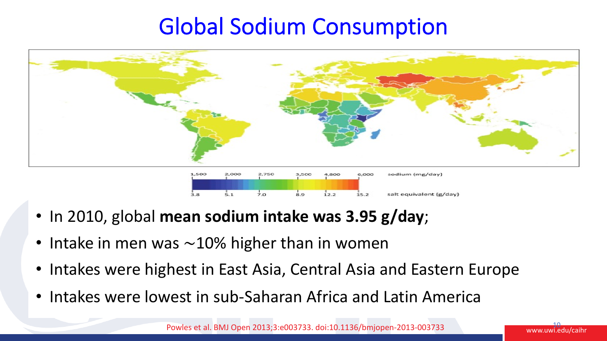### Global Sodium Consumption



- In 2010, global **mean sodium intake was 3.95 g/day**;
- Intake in men was ~10% higher than in women
- Intakes were highest in East Asia, Central Asia and Eastern Europe
- Intakes were lowest in sub-Saharan Africa and Latin America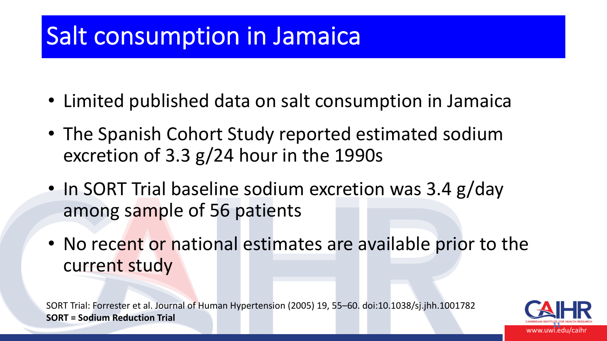## Salt consumption in Jamaica

- Limited published data on salt consumption in Jamaica
- The Spanish Cohort Study reported estimated sodium excretion of 3.3 g/24 hour in the 1990s
- In SORT Trial baseline sodium excretion was 3.4 g/day among sample of 56 patients
- No recent or national estimates are available prior to the current study

SORT Trial: Forrester et al. Journal of Human Hypertension (2005) 19, 55–60. doi:10.1038/sj.jhh.1001782 **SORT = Sodium Reduction Trial**

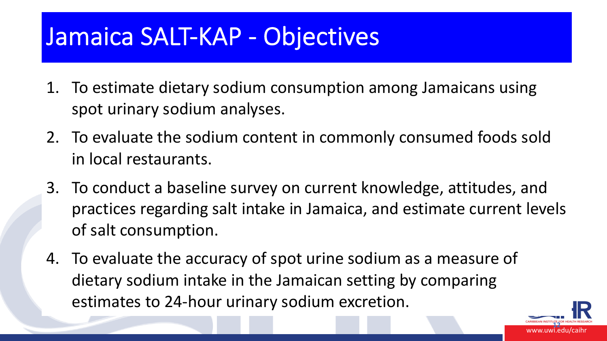## Jamaica SALT-KAP - Objectives

- 1. To estimate dietary sodium consumption among Jamaicans using spot urinary sodium analyses.
- 2. To evaluate the sodium content in commonly consumed foods sold in local restaurants.
- 3. To conduct a baseline survey on current knowledge, attitudes, and practices regarding salt intake in Jamaica, and estimate current levels of salt consumption.
- 4. To evaluate the accuracy of spot urine sodium as a measure of dietary sodium intake in the Jamaican setting by comparing estimates to 24-hour urinary sodium excretion.

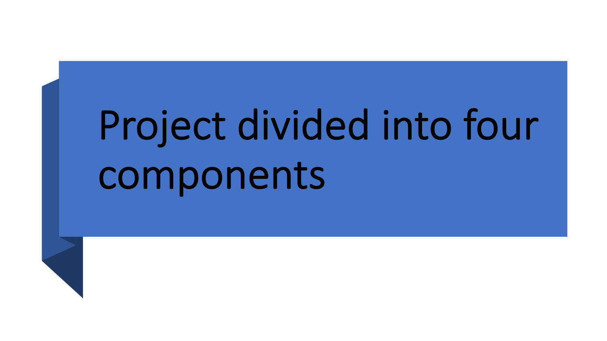# Project divided into four components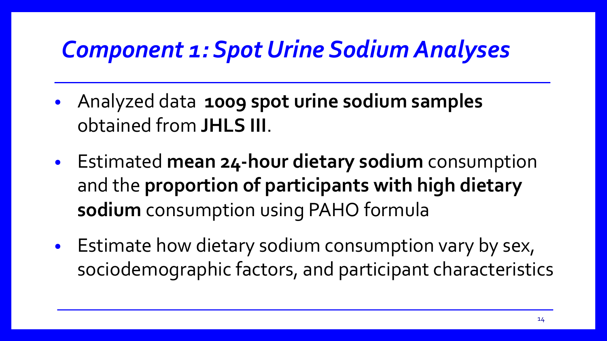### *Component 1: Spot Urine Sodium Analyses*

- Analyzed data **1009 spot urine sodium samples**  obtained from **JHLS III**.
- Estimated **mean 24-hour dietary sodium** consumption and the **proportion of participants with high dietary sodium** consumption using PAHO formula
- Estimate how dietary sodium consumption vary by sex, sociodemographic factors, and participant characteristics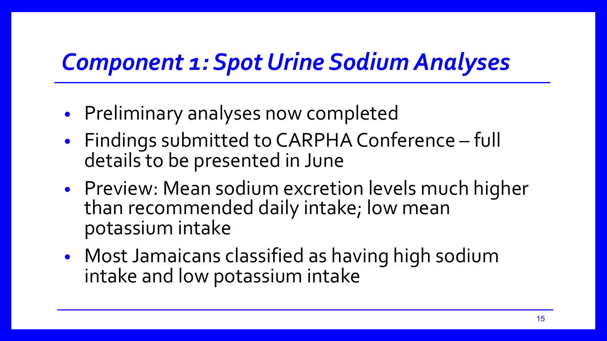### *Component 1: Spot Urine Sodium Analyses*

- Preliminary analyses now completed
- Findings submitted to CARPHA Conference full details to be presented in June
- Preview: Mean sodium excretion levels much higher than recommended daily intake; low mean potassium intake
- Most Jamaicans classified as having high sodium intake and low potassium intake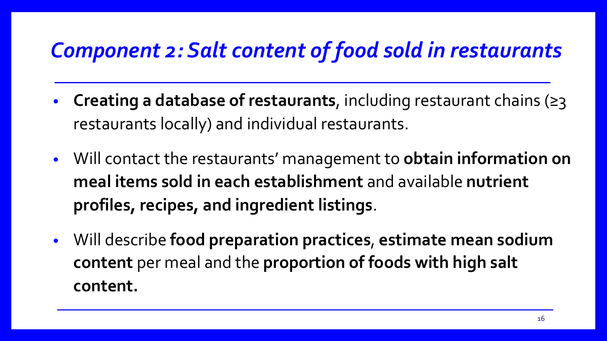### *Component 2: Salt content of food sold in restaurants*

- **Creating a database of restaurants**, including restaurant chains (≥3 restaurants locally) and individual restaurants.
- Will contact the restaurants' management to **obtain information on meal items sold in each establishment** and available **nutrient profiles, recipes, and ingredient listings**.
- Will describe **food preparation practices**, **estimate mean sodium content** per meal and the **proportion of foods with high salt content.**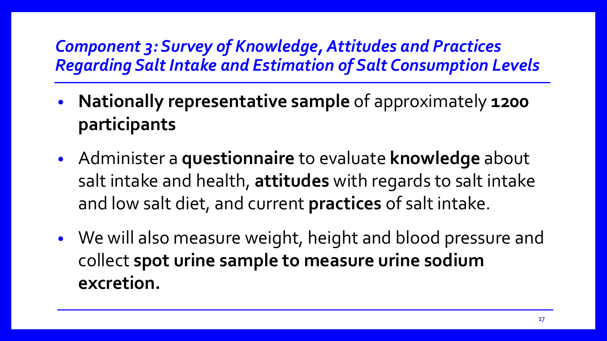### *Component 3: Survey of Knowledge, Attitudes and Practices Regarding Salt Intake and Estimation of Salt Consumption Levels*

- **Nationally representative sample** of approximately **1200 participants**
- Administer a **questionnaire** to evaluate **knowledge** about salt intake and health, **attitudes** with regards to salt intake and low salt diet, and current **practices** of salt intake.
- We will also measure weight, height and blood pressure and collect **spot urine sample to measure urine sodium excretion.**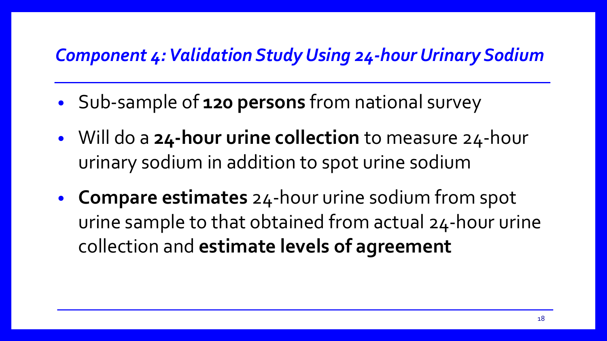### *Component 4: Validation Study Using 24-hour Urinary Sodium*

- Sub-sample of **120 persons** from national survey
- Will do a **24-hour urine collection** to measure 24-hour urinary sodium in addition to spot urine sodium
- **Compare estimates** 24-hour urine sodium from spot urine sample to that obtained from actual 24-hour urine collection and **estimate levels of agreement**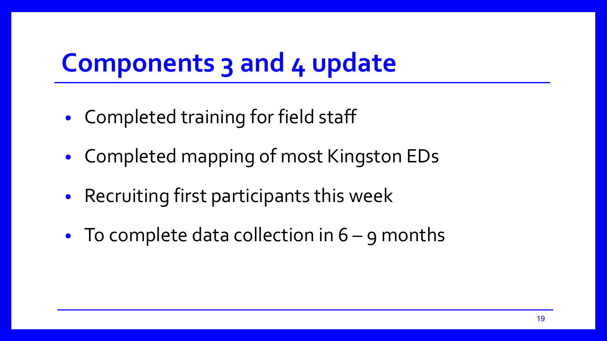## **Components 3 and 4 update**

- Completed training for field staff
- Completed mapping of most Kingston EDs
- Recruiting first participants this week
- To complete data collection in  $6 g$  months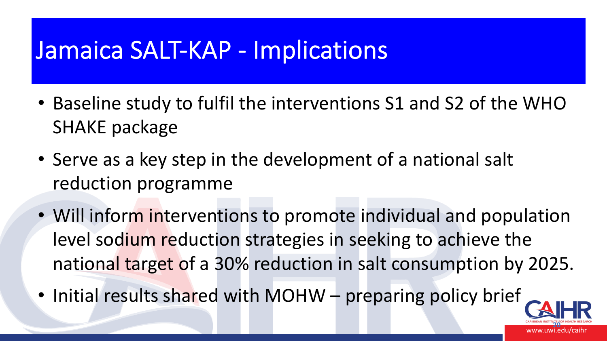### Jamaica SALT-KAP - Implications

- Baseline study to fulfil the interventions S1 and S2 of the WHO SHAKE package
- Serve as a key step in the development of a national salt reduction programme
- Will inform interventions to promote individual and population level sodium reduction strategies in seeking to achieve the national target of a 30% reduction in salt consumption by 2025.
- Initial results shared with MOHW preparing policy brief